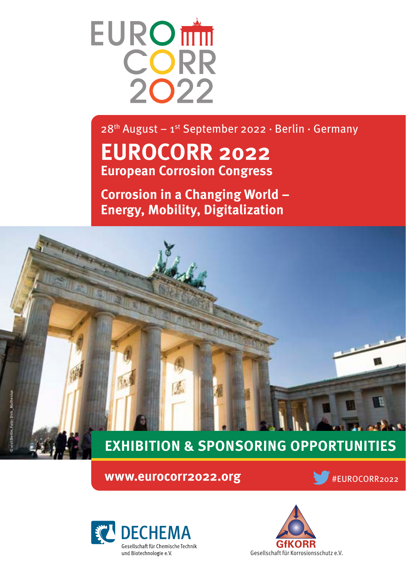

 $28<sup>th</sup>$  August – 1<sup>st</sup> September 2022 · Berlin · Germany

# **EUROCORR 2022 European Corrosion Congress**

**Corrosion in a Changing World – Energy, Mobility, Digitalization** 

# **EXHIBITION & SPONSORING OPPORTUNITIES**

**WWW.eurocorr2022.org WWW.eurocorr2022.org** 





围

ark av

© Wonderful Copenhagen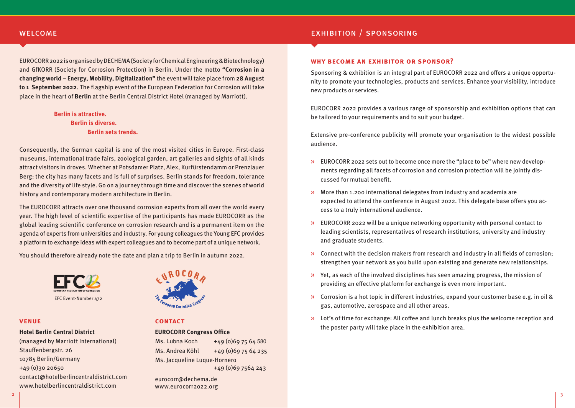#### **WELCOME**

EUROCORR 2022 is organised by DECHEMA (Society for Chemical Engineering & Biotechnology) and GfKORR (Society for Corrosion Protection) in Berlin. Under the motto **"Corrosion in a changing world – Energy, Mobility, Digitalization"** the event will take place from **28 August to 1 September 2022**. The flagship event of the European Federation for Corrosion will take place in the heart of **Berlin** at the Berlin Central District Hotel (managed by Marriott).

> **Berlin is attractive. Berlin is diverse. Berlin sets trends.**

Consequently, the German capital is one of the most visited cities in Europe. First-class museums, international trade fairs, zoological garden, art galleries and sights of all kinds attract visitors in droves. Whether at Potsdamer Platz, Alex, Kurfürstendamm or Prenzlauer Berg: the city has many facets and is full of surprises. Berlin stands for freedom, tolerance and the diversity of life style. Go on a journey through time and discover the scenes of world history and contemporary modern architecture in Berlin.

The EUROCORR attracts over one thousand corrosion experts from all over the world every year. The high level of scientific expertise of the participants has made EUROCORR as the global leading scientific conference on corrosion research and is a permanent item on the agenda of experts from universities and industry. For young colleagues the Young EFC provides a platform to exchange ideas with expert colleagues and to become part of a unique network.

You should therefore already note the date and plan a trip to Berlin in autumn 2022.



#### **venue**

#### **Hotel Berlin Central District**

(managed by Marriott International) Stauffenbergstr. 26 10785 Berlin/Germany +49 (0)30 20650 contact@hotelberlincentraldistrict.com www.hotelberlincentraldistrict.com



#### **contact**

### **EUROCORR Congress Office** Ms. Lubna Koch +49 (0)69 75 64 580 Ms. Jacqueline Luque-Hornero +49 (0)69 7564 243 Ms. Andrea Köhl +49 (0)69 75 64 235

eurocorr@dechema.de www.eurocorr2022.org

# exhibition / sponsoring

#### **why become an exhibitor or sponsor?**

Sponsoring & exhibition is an integral part of EUROCORR 2022 and offers a unique opportunity to promote your technologies, products and services. Enhance your visibility, introduce new products or services.

EUROCORR 2022 provides a various range of sponsorship and exhibition options that can be tailored to your requirements and to suit your budget.

Extensive pre-conference publicity will promote your organisation to the widest possible audience.

- » EUROCORR 2022 sets out to become once more the "place to be" where new developments regarding all facets of corrosion and corrosion protection will be jointly discussed for mutual benefit.
- » More than 1.200 international delegates from industry and academia are expected to attend the conference in August 2022. This delegate base offers you access to a truly international audience.
- » EUROCORR 2022 will be a unique networking opportunity with personal contact to leading scientists, representatives of research institutions, university and industry and graduate students.
- » Connect with the decision makers from research and industry in all fields of corrosion; strengthen your network as you build upon existing and generate new relationships.
- » Yet, as each of the involved disciplines has seen amazing progress, the mission of providing an effective platform for exchange is even more important.
- $\rightarrow$  Corrosion is a hot topic in different industries, expand your customer base e.g. in oil & gas, automotive, aerospace and all other areas.
- » Lot's of time for exchange: All coffee and lunch breaks plus the welcome reception and the poster party will take place in the exhibition area.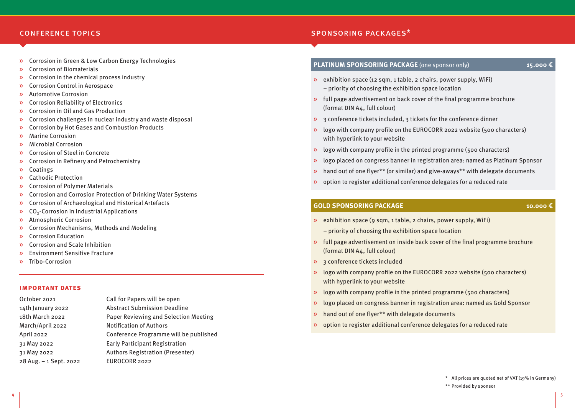#### conference topics

- » Corrosion in Green & Low Carbon Energy Technologies
- » Corrosion of Biomaterials
- » Corrosion in the chemical process industry
- » Corrosion Control in Aerospace
- » Automotive Corrosion
- » Corrosion Reliability of Electronics
- » Corrosion in Oil and Gas Production
- » Corrosion challenges in nuclear industry and waste disposal
- » Corrosion by Hot Gases and Combustion Products
- » Marine Corrosion
- » Microbial Corrosion
- » Corrosion of Steel in Concrete
- » Corrosion in Refinery and Petrochemistry
- » Coatings
- » Cathodic Protection
- » Corrosion of Polymer Materials
- » Corrosion and Corrosion Protection of Drinking Water Systems
- » Corrosion of Archaeological and Historical Artefacts
- $\lambda$  CO<sub>2</sub>-Corrosion in Industrial Applications
- » Atmospheric Corrosion
- » Corrosion Mechanisms, Methods and Modeling
- » Corrosion Education
- » Corrosion and Scale Inhibition
- » Environment Sensitive Fracture
- » Tribo-Corrosion

#### **important dates**

| October 2021           | Call for Papers will be open            |
|------------------------|-----------------------------------------|
| 14th January 2022      | <b>Abstract Submission Deadline</b>     |
| 18th March 2022        | Paper Reviewing and Selection Meeting   |
| March/April 2022       | <b>Notification of Authors</b>          |
| April 2022             | Conference Programme will be published  |
| 31 May 2022            | <b>Early Participant Registration</b>   |
| 31 May 2022            | <b>Authors Registration (Presenter)</b> |
| 28 Aug. – 1 Sept. 2022 | EUROCORR 2022                           |
|                        |                                         |

#### sponsoring packages\*

## **PLATINUM SPONSORING PACKAGE** (one sponsor only) **15.000 €**

- » exhibition space (12 sqm, 1 table, 2 chairs, power supply, WiFi) – priority of choosing the exhibition space location
- » full page advertisement on back cover of the final programme brochure (format DIN A4, full colour)
- » 3 conference tickets included, 3 tickets for the conference dinner
- » logo with company profile on the EUROCORR 2022 website (500 characters) with hyperlink to your website
- » logo with company profile in the printed programme (500 characters)
- » logo placed on congress banner in registration area: named as Platinum Sponsor
- » hand out of one flyer\*\* (or similar) and give-aways\*\* with delegate documents
- » option to register additional conference delegates for a reduced rate

#### **GOLD SPONSORING PACKAGE 10.000 €**

- » exhibition space (9 sqm, 1 table, 2 chairs, power supply, WiFi)
	- priority of choosing the exhibition space location
- $\triangleright$  full page advertisement on inside back cover of the final programme brochure (format DIN A4, full colour)
- » 3 conference tickets included
- » logo with company profile on the EUROCORR 2022 website (500 characters) with hyperlink to your website
- » logo with company profile in the printed programme (500 characters)
- » logo placed on congress banner in registration area: named as Gold Sponsor
- » hand out of one flyer\*\* with delegate documents
- » option to register additional conference delegates for a reduced rate

\*\* Provided by sponsor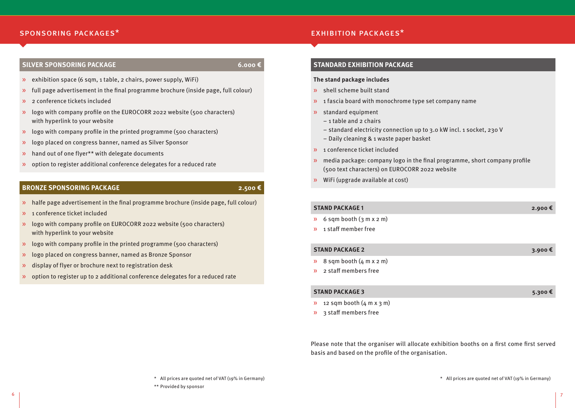#### ${\sf SPONSORING \; PACKAGES^{\star}}$  exhibition packages $^{\star}$

#### **SILVER SPONSORING PACKAGE 6.000 €**

- $\lambda$  exhibition space (6 sqm, 1 table, 2 chairs, power supply, WiFi)
- » full page advertisement in the final programme brochure (inside page, full colour)
- » 2 conference tickets included
- » logo with company profile on the EUROCORR 2022 website (500 characters) with hyperlink to your website
- $\lambda$  logo with company profile in the printed programme (500 characters)
- » logo placed on congress banner, named as Silver Sponsor
- » hand out of one flyer\*\* with delegate documents
- » option to register additional conference delegates for a reduced rate

# **BRONZE SPONSORING PACKAGE 2.500 €**<br>2.500 €

- » halfe page advertisement in the final programme brochure (inside page, full colour)
- » 1 conference ticket included
- » logo with company profile on EUROCORR 2022 website (500 characters) with hyperlink to your website
- » logo with company profile in the printed programme (500 characters)
- » logo placed on congress banner, named as Bronze Sponsor
- » display of flyer or brochure next to registration desk
- » option to register up to 2 additional conference delegates for a reduced rate

#### **STANDARD EXHIBITION PACKAGE**

#### **The stand package includes**

- » shell scheme built stand
- $\lambda$  1 fascia board with monochrome type set company name
- » standard equipment
	- $-$  1 table and 2 chairs
	- standard electricity connection up to 3.0 kW incl. 1 socket, 230 V
	- Daily cleaning & 1 waste paper basket
- » 1 conference ticket included
- » media package: company logo in the final programme, short company profile (500 text characters) on EUROCORR 2022 website
- » WiFi (upgrade available at cost)

#### **STAND PACKAGE 1 2.900 €**

- $\frac{1}{2}$  6 sqm booth (3 m x 2 m)
- » 1 staff member free

#### **STAND PACKAGE 2 3.900 €**

- $\rightarrow$  8 sqm booth  $(4 \text{ m x 2 m})$
- » 2 staff members free

#### **STAND PACKAGE 3 5.300 €**

- $\sqrt{2}$  12 sqm booth (4 m x 3 m)
- $\frac{1}{2}$  3 staff members free

Please note that the organiser will allocate exhibition booths on a first come first served basis and based on the profile of the organisation.

\* All prices are quoted net of VAT (19% in Germany)

#### \* All prices are quoted net of VAT (19% in Germany)